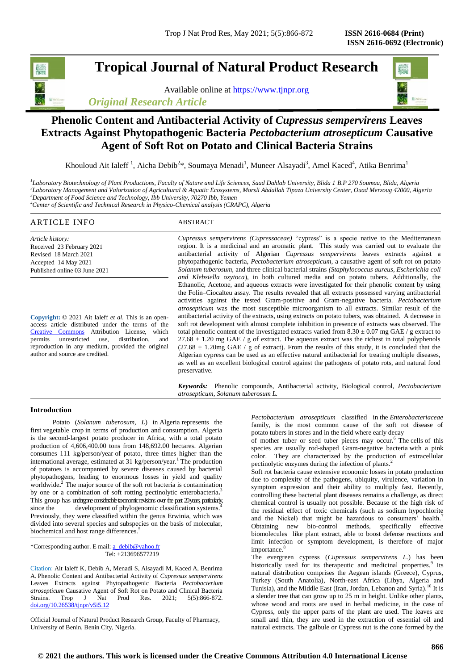# **Tropical Journal of Natural Product Research**

Available online at [https://www.tjnpr.org](https://www.tjnpr.org/) *Original Research Article*



# **Phenolic Content and Antibacterial Activity of** *Cupressus sempervirens* **Leaves Extracts Against Phytopathogenic Bacteria** *Pectobacterium atrosepticum* **Causative Agent of Soft Rot on Potato and Clinical Bacteria Strains**

Khouloud Ait Ialeff<sup>1</sup>, Aicha Debib<sup>2\*</sup>, Soumaya Menadi<sup>1</sup>, Muneer Alsayadi<sup>3</sup>, Amel Kaced<sup>4</sup>, Atika Benrima<sup>1</sup>

 *Laboratory Biotechnology of Plant Productions, Faculty of Nature and Life Sciences, Saad Dahlab University, Blida 1 B.P 270 Soumaa, Blida, Algeria Laboratory Management and Valorization of Agricultural & Aquatic Ecosystems, Morsli Abdallah Tipaza University Center, Ouad Merzoug 42000, Algeria Department of Food Science and Technology, Ibb University, 70270 Ibb, Yemen Center of Scientific and Technical Research in Physico-Chemical analysis (CRAPC), Algeria*

### ARTICLE INFO ABSTRACT *Article history:* Received 23 February 2021 *Cupressus sempervirens (Cupressaceae)* "cypress" is a specie native to the Mediterranean region. It is a medicinal and an aromatic plant. This study was carried out to evaluate the

Revised 18 March 2021 Accepted 14 May 2021 Published online 03 June 2021

**Copyright:** © 2021 Ait Ialeff *et al*. This is an openaccess article distributed under the terms of the [Creative Commons](https://creativecommons.org/licenses/by/4.0/) Attribution License, which<br>permits unrestricted use, distribution, and unrestricted use, distribution, and reproduction in any medium, provided the original author and source are credited.

antibacterial activity of Algerian *Cupressus sempervirens* leaves extracts against a phytopathogenic bacteria, *Pectobacterium atrosepticum,* a causative agent of soft rot on potato *Solanum tuberosum,* and three clinical bacterial strains *(Staphylococcus aureus, Escherichia coli and Klebsiella oxytoca*), in both cultured media and on potato tubers. Additionally, the Ethanolic, Acetone, and aqueous extracts were investigated for their phenolic content by using the Folin–Ciocalteu assay. The results revealed that all extracts possessed varying antibacterial activities against the tested Gram-positive and Gram-negative bacteria. *Pectobacterium atrosepticum* was the most susceptible microorganism to all extracts. Similar result of the antibacterial activity of the extracts, using extracts on potato tubers, was obtained. A decrease in soft rot development with almost complete inhibition in presence of extracts was observed. The total phenolic content of the investigated extracts varied from  $8.30 \pm 0.07$  mg GAE / g extract to  $27.68 \pm 1.20$  mg GAE / g of extract. The aqueous extract was the richest in total polyphenols  $(27.68 \pm 1.20$ mg GAE / g of extract). From the results of this study, it is concluded that the Algerian cypress can be used as an effective natural antibacterial for treating multiple diseases, as well as an excellent biological control against the pathogens of potato rots, and natural food preservative.

*Keywords:* Phenolic compounds, Antibacterial activity, Biological control, *Pectobacterium atrosepticum, Solanum tuberosum L.*

# **Introduction**

 Potato (*Solanum tuberosum, L*) in Algeria represents the first vegetable crop in terms of production and consumption. Algeria is the second-largest potato producer in Africa, with a total potato production of 4,606,400.00 tons from 148,692.00 hectares. Algerian consumes 111 kg/person/year of potato, three times higher than the international average, estimated at 31 kg/person/year.<sup>1</sup> The production of potatoes is accompanied by severe diseases caused by bacterial phytopathogens, leading to enormous losses in yield and quality worldwide.<sup>2</sup> The major source of the soft rot bacteria is contamination by one or a combination of soft rotting pectinolytic enterobacteria**.** 3 This group has undergone considerable taxonomic revisions over the past 20 years, particularly, since the development of phylogenomic classification systems.<sup>4</sup> Previously, they were classified within the genus Erwinia, which was divided into several species and subspecies on the basis of molecular, biochemical and host range differences.

\*Corresponding author. E mail: a\_debib@yahoo.fr Tel: +213696577219

Citation: Ait Ialeff K, Debib A, Menadi S, Alsayadi M, Kaced A, Benrima A. Phenolic Content and Antibacterial Activity of *Cupressus sempervirens* Leaves Extracts against Phytopathogenic Bacteria *Pectobacterium atrosepticum* Causative Agent of Soft Rot on Potato and Clinical Bacteria Strains. Trop J Nat Prod Res. 2021; 5(5):866-872. [doi.org/10.26538/tjnpr/v5i5.1](http://www.doi.org/10.26538/tjnpr/v1i4.5)2

Official Journal of Natural Product Research Group, Faculty of Pharmacy, University of Benin, Benin City, Nigeria.

*Pectobacterium atrosepticum* classified in the *Enterobacteriaceae* family*,* is the most common cause of the soft rot disease of potato tubers in stores and in the field where early decay

of mother tuber or seed tuber pieces may occur.<sup>6</sup> The cells of this species are usually rod-shaped Gram-negative bacteria with a pink color. They are characterized by the production of extracellular pectinolytic enzymes during the infection of plants.<sup>2</sup>

Soft rot bacteria cause extensive economic losses in potato production due to complexity of the pathogens, ubiquity, virulence, variation in symptom expression and their ability to multiply fast. Recently, controlling these bacterial plant diseases remains a challenge, as direct chemical control is usually not possible. Because of the high risk of the residual effect of toxic chemicals (such as sodium hypochlorite and the Nickel) that might be hazardous to consumers' health.<sup>7</sup> Obtaining new bio-control methods, specifically effective biomolecules like plant extract, able to boost defense reactions and limit infection or symptom development, is therefore of major importance. 8

The evergreen cypress (*Cupressus sempervirens L.*) has been historically used for its therapeutic and medicinal properties.<sup>9</sup> Its natural distribution comprises the Aegean islands (Greece), Cyprus, Turkey (South Anatolia), North-east Africa (Libya, Algeria and Tunisia), and the Middle East (Iran, Jordan, Lebanon and Syria).<sup>10</sup> It is a slender tree that can grow up to 25 m in height. Unlike other plants, whose wood and roots are used in herbal medicine, in the case of Cypress, only the upper parts of the plant are used. The leaves are small and thin, they are used in the extraction of essential oil and natural extracts. The galbule or Cypress nut is the cone formed by the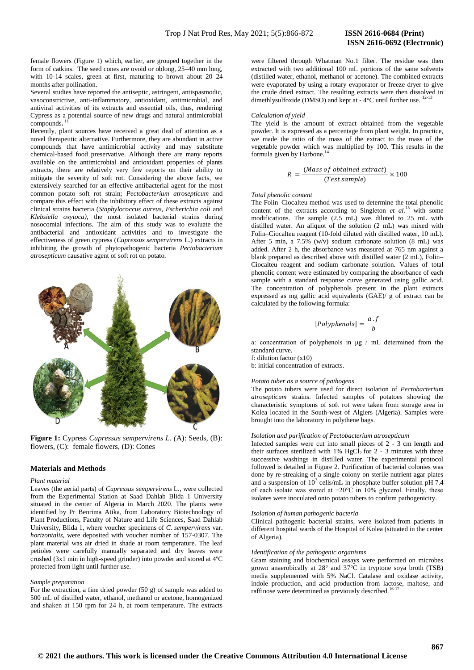female flowers (Figure 1) which, earlier, are grouped together in the form of catkins. The seed cones are ovoid or oblong, 25–40 mm long, with 10-14 scales, green at first, maturing to brown about 20–24 months after pollination.

Several studies have reported the antiseptic, astringent, antispasmodic, vasoconstrictive, anti-inflammatory, antioxidant, antimicrobial, and antiviral activities of its extracts and essential oils, thus, rendering Cypress as a potential source of new drugs and natural antimicrobial compounds**.** 11

Recently, plant sources have received a great deal of attention as a novel therapeutic alternative. Furthermore, they are abundant in active compounds that have antimicrobial activity and may substitute chemical-based food preservative. Although there are many reports available on the antimicrobial and antioxidant properties of plants extracts, there are relatively very few reports on their ability to mitigate the severity of soft rot. Considering the above facts, we extensively searched for an effective antibacterial agent for the most common potato soft rot strain; *Pectobacterium atrosepticum* and compare this effect with the inhibitory effect of these extracts against clinical strains bacteria (*Staphylococcus aureus, Escherichia coli* and *Klebsiella oxytoca)*, the most isolated bacterial strains during nosocomial infections. The aim of this study was to evaluate the antibacterial and antioxidant activities and to investigate the effectiveness of green cypress (*Cupressus sempervirens* L.) extracts in inhibiting the growth of phytopathogenic bacteria *Pectobacterium atrosepticum* causative agent of soft rot on potato.



**Figure 1:** Cypress *Cupressus sempervirens L. (*A): Seeds, (B): flowers, (C): female flowers, (D): Cones

# **Materials and Methods**

# *Plant material*

Leaves (the aerial parts) of *Cupressus sempervirens* L., were collected from the Experimental Station at Saad Dahlab Blida 1 University situated in the center of Algeria in March 2020. The plants were identified by Pr Benrima Atika, from Laboratory Biotechnology of Plant Productions, Faculty of Nature and Life Sciences, Saad Dahlab University, Blida 1, where voucher specimens of *C. sempervirens* var. *horizontalis,* were deposited with voucher number of 157-0307. The plant material was air dried in shade at room temperature. The leaf petioles were carefully manually separated and dry leaves were crushed (3x1 min in high-speed grinder) into powder and stored at 4ºC protected from light until further use.

# *Sample preparation*

For the extraction, a fine dried powder (50 g) of sample was added to 500 mL of distilled water, ethanol, methanol or acetone, homogenized and shaken at 150 rpm for 24 h, at room temperature. The extracts

were filtered through Whatman No.1 filter. The residue was then extracted with two additional 100 mL portions of the same solvents (distilled water, ethanol, methanol or acetone). The combined extracts were evaporated by using a rotary evaporator or freeze dryer to give the crude dried extract. The resulting extracts were then dissolved in dimethlysulfoxide (DMSO) and kept at - 4°C until further use. <sup>12-1</sup>

#### *Calculation of yield*

The yield is the amount of extract obtained from the vegetable powder. It is expressed as a percentage from plant weight. In practice, we made the ratio of the mass of the extract to the mass of the vegetable powder which was multiplied by 100. This results in the formula given by Harbone.<sup>14</sup>

$$
R = \frac{(Mass\ of\ obtained\ extract)}{(Test\ sample)} \times 100
$$

#### *Total phenolic content*

The Folin–Ciocalteu method was used to determine the total phenolic content of the extracts according to Singleton  $et \ al$ <sup>15</sup> with some modifications. The sample (2.5 mL) was diluted to 25 mL with distilled water. An aliquot of the solution (2 mL) was mixed with Folin–Ciocalteu reagent (10-fold diluted with distilled water, 10 mL). After 5 min, a  $7.5\%$  (w/v) sodium carbonate solution (8 mL) was added. After 2 h, the absorbance was measured at 765 nm against a blank prepared as described above with distilled water (2 mL), Folin– Ciocalteu reagent and sodium carbonate solution. Values of total phenolic content were estimated by comparing the absorbance of each sample with a standard response curve generated using gallic acid. The concentration of polyphenols present in the plant extracts expressed as mg gallic acid equivalents (GAE)/ g of extract can be calculated by the following formula:

$$
[Polaphenols] = \frac{a \cdot f}{b}
$$

a: concentration of polyphenols in μg / mL determined from the standard curve.

f: dilution factor (x10)

b: initial concentration of extracts.

# *Potato tuber as a source of pathogens*

The potato tubers were used for direct isolation of *Pectobacterium atrosepticum* strains. Infected samples of potatoes showing the characteristic symptoms of soft rot were taken from storage area in Kolea located in the South-west of Algiers (Algeria). Samples were brought into the laboratory in polythene bags.

#### *Isolation and purification of Pectobacterium atrosepticum*

Infected samples were cut into small pieces of 2 - 3 cm length and their surfaces sterilized with 1% HgCl<sub>2</sub> for 2 - 3 minutes with three successive washings in distilled water. The experimental protocol followed is detailed in Figure 2. Purification of bacterial colonies was done by re-streaking of a single colony on sterile nutrient agar plates and a suspension of  $10^7$  cells/mL in phosphate buffer solution pH 7.4 of each isolate was stored at −20°C in 10% glycerol. Finally, these isolates were inoculated onto potato tubers to confirm pathogenicity.

#### *Isolation of human pathogenic bacteria*

Clinical pathogenic bacterial strains, were isolated from patients in different hospital wards of the Hospital of Kolea (situated in the center of Algeria).

# *Identification of the pathogenic organisms*

Gram staining and biochemical assays were performed on microbes grown anaerobically at 28° and 37°C in tryptone soya broth (TSB) media supplemented with 5% NaCl. Catalase and oxidase activity, indole production, and acid production from lactose, maltose, and raffinose were determined as previously described.<sup>16-17</sup>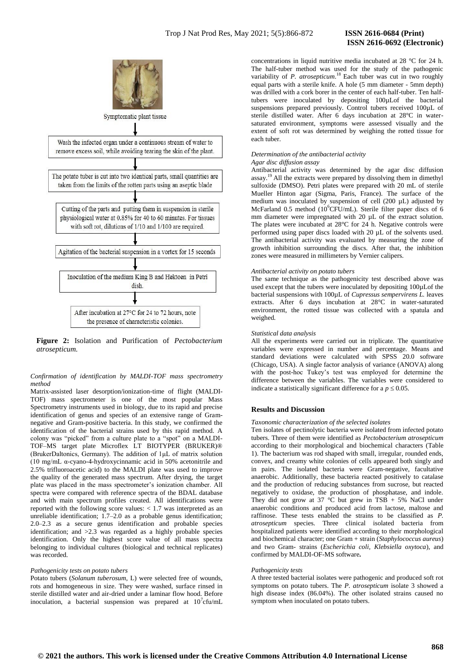

Symptomatic plant tissue



**Figure 2:** Isolation and Purification of *Pectobacterium atrosepticum.*

*Confirmation of identification by MALDI-TOF mass spectrometry method*

Matrix-assisted laser desorption/ionization-time of flight (MALDI-TOF) mass spectrometer is one of the most popular Mass Spectrometry instruments used in biology, due to its rapid and precise identification of genus and species of an extensive range of Gramnegative and Gram-positive bacteria. In this study, we confirmed the identification of the bacterial strains used by this rapid method. A colony was "picked" from a culture plate to a "spot" on a MALDI-TOF–MS target plate Microflex LT BIOTYPER (BRUKER)® (BrukerDaltonics, Germany). The addition of 1μL of matrix solution (10 mg/mL α-cyano-4-hydroxycinnamic acid in 50% acetonitrile and 2.5% trifluoroacetic acid) to the MALDI plate was used to improve the quality of the generated mass spectrum. After drying, the target plate was placed in the mass spectrometer's ionization chamber. All spectra were compared with reference spectra of the BDAL database and with main spectrum profiles created. All identifications were reported with the following score values: < 1.7 was interpreted as an unreliable identification; 1.7–2.0 as a probable genus identification; 2.0–2.3 as a secure genus identification and probable species identification; and >2.3 was regarded as a highly probable species identification. Only the highest score value of all mass spectra belonging to individual cultures (biological and technical replicates) was recorded.

# *Pathogenicity tests on potato tubers*

Potato tubers (*Solanum tuberosum*, L) were selected free of wounds, rots and homogeneous in size. They were washed, surface rinsed in sterile distilled water and air-dried under a laminar flow hood. Before inoculation, a bacterial suspension was prepared at  $10^7$ cfu/mL

# **ISSN 2616-0692 (Electronic)**

concentrations in liquid nutritive media incubated at 28 °C for 24 h. The half-tuber method was used for the study of the pathogenic variability of *P. atrosepticum*.<sup>18</sup> Each tuber was cut in two roughly equal parts with a sterile knife. A hole (5 mm diameter - 5mm depth) was drilled with a cork borer in the center of each half-tuber. Ten halftubers were inoculated by depositing 100µLof the bacterial suspensions prepared previously. Control tubers received 100µL of sterile distilled water. After 6 days incubation at 28°C in watersaturated environment, symptoms were assessed visually and the extent of soft rot was determined by weighing the rotted tissue for each tuber.

#### *Determination of the antibacterial activity Agar disc diffusion assay*

Antibacterial activity was determined by the agar disc diffusion assay. <sup>19</sup>All the extracts were prepared by dissolving them in dimethyl sulfoxide (DMSO). Petri plates were prepared with 20 mL of sterile Mueller Hinton agar (Sigma, Paris, France). The surface of the medium was inoculated by suspension of cell (200 µL) adjusted by McFarland 0.5 method (10<sup>6</sup>CFU/mL). Sterile filter paper discs of 6 mm diameter were impregnated with 20  $\mu$ L of the extract solution. The plates were incubated at 28°C for 24 h. Negative controls were performed using paper discs loaded with 20 µL of the solvents used. The antibacterial activity was evaluated by measuring the zone of growth inhibition surrounding the discs. After that, the inhibition zones were measured in millimeters by Vernier calipers.

# *Antibacterial activity on potato tubers*

The same technique as the pathogenicity test described above was used except that the tubers were inoculated by depositing 100µLof the bacterial suspensions with 100µL of *Cupressus sempervirens L.* leaves extracts. After 6 days incubation at 28°C in water-saturated environment, the rotted tissue was collected with a spatula and weighed.

#### *Statistical data analysis*

All the experiments were carried out in triplicate. The quantitative variables were expressed in number and percentage. Means and standard deviations were calculated with SPSS 20.0 software (Chicago, USA). A single factor analysis of variance (ANOVA) along with the post-hoc Tukey's test was employed for determine the difference between the variables. The variables were considered to indicate a statistically significant difference for a  $p \leq 0.05$ .

# **Results and Discussion**

# *Taxonomic characterization of the selected isolates*

Ten isolates of pectinolytic bacteria were isolated from infected potato tubers. Three of them were identified as *Pectobacterium atrosepticum* according to their morphological and biochemical characters (Table 1). The bacterium was rod shaped with small, irregular, rounded ends, convex, and creamy white colonies of cells appeared both singly and in pairs. The isolated bacteria were Gram-negative, facultative anaerobic. Additionally, these bacteria reacted positively to catalase and the production of reducing substances from sucrose, but reacted negatively to oxidase, the production of phosphatase, and indole. They did not grow at 37 °C but grew in TSB + 5% NaCl under anaerobic conditions and produced acid from lactose, maltose and raffinose. These tests enabled the strains to be classified as *P. atrosepticum* species. Three clinical isolated bacteria from hospitalized patients were identified according to their morphological and biochemical character; one Gram + strain (*Staphylococcus aureus*) and two Gram- strains (*Escherichia coli, Klebsiella oxytoca*), and confirmed by MALDI-OF-MS software**.**

# *Pathogenicity tests*

A three tested bacterial isolates were pathogenic and produced soft rot symptoms on potato tubers. The *P. atrosepticum* isolate 3 showed a high disease index (86.04%). The other isolated strains caused no symptom when inoculated on potato tubers.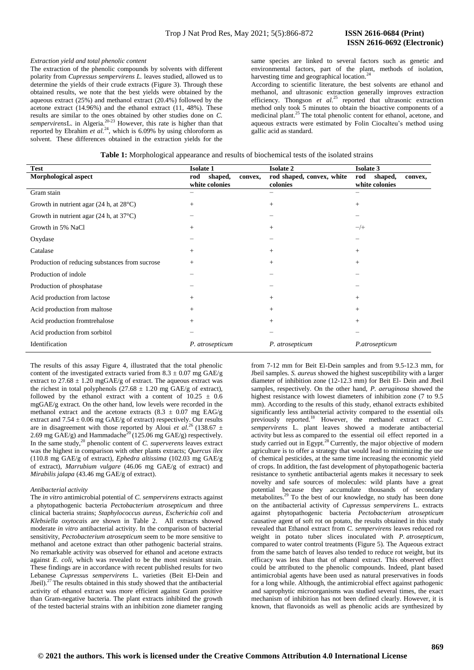# *Extraction yield and total phenolic content*

The extraction of the phenolic compounds by solvents with different polarity from *Cupressus sempervirens L.* leaves studied, allowed us to determine the yields of their crude extracts (Figure 3). Through these obtained results, we note that the best yields were obtained by the aqueous extract (25%) and methanol extract (20.4%) followed by the acetone extract (14.96%) and the ethanol extract (11, 48%). These results are similar to the ones obtained by other studies done on *C. sempervirens*L. in Algeria.20-23 However, this rate is higher than that reported by Ebrahim *et al.*<sup>24</sup>, which is 6.09% by using chloroform as solvent. These differences obtained in the extraction yields for the

same species are linked to several factors such as genetic and environmental factors, part of the plant, methods of isolation, harvesting time and geographical location.<sup>24</sup>

According to scientific literature, the best solvents are ethanol and methanol, and ultrasonic extraction generally improves extraction efficiency. Thongson *et al.*<sup>25</sup> reported that ultrasonic extraction method only took 5 minutes to obtain the bioactive components of a medicinal plant.<sup>25</sup> The total phenolic content for ethanol, acetone, and medicinal plant.<sup>25</sup> The total phenolic content for ethanol, acetone, and aqueous extracts were estimated by Folin Ciocalteu's method using gallic acid as standard.

|  | Table 1: Morphological appearance and results of biochemical tests of the isolated strains |
|--|--------------------------------------------------------------------------------------------|
|  |                                                                                            |

| <b>Test</b>                                      | <b>Isolate 1</b>                            | <b>Isolate 2</b>                      | <b>Isolate 3</b>                            |
|--------------------------------------------------|---------------------------------------------|---------------------------------------|---------------------------------------------|
| <b>Morphological aspect</b>                      | shaped,<br>rod<br>convex,<br>white colonies | rod shaped, convex, white<br>colonies | rod<br>shaped,<br>convex,<br>white colonies |
| Gram stain                                       | $\qquad \qquad$                             | —                                     | -                                           |
| Growth in nutrient agar $(24 h, at 28°C)$        | $^{+}$                                      | $^{+}$                                | $^{+}$                                      |
| Growth in nutrient agar $(24 h, at 37^{\circ}C)$ |                                             |                                       |                                             |
| Growth in 5% NaCl                                | $^{+}$                                      | $^{+}$                                | $-/+$                                       |
| Oxydase                                          | $\overline{\phantom{0}}$                    | —                                     |                                             |
| Catalase                                         | $^{+}$                                      | $^{+}$                                | $^{+}$                                      |
| Production of reducing substances from sucrose   | $^{+}$                                      | $^{+}$                                | $^{+}$                                      |
| Production of indole                             |                                             |                                       |                                             |
| Production of phosphatase                        |                                             |                                       |                                             |
| Acid production from lactose                     | $^{+}$                                      | $^{+}$                                | $^{+}$                                      |
| Acid production from maltose                     | $^{+}$                                      | $^{+}$                                | $^{+}$                                      |
| Acid production from rehalose                    | $^{+}$                                      | $^{+}$                                | $^{+}$                                      |
| Acid production from sorbitol                    |                                             |                                       |                                             |
| Identification                                   | P. atrosepticum                             | P. atrosepticum                       | P.atrosepticum                              |

The results of this assay Figure 4, illustrated that the total phenolic content of the investigated extracts varied from  $8.3 \pm 0.07$  mg GAE/g extract to  $27.68 \pm 1.20$  mgGAE/g of extract. The aqueous extract was the richest in total polyphenols  $(27.68 \pm 1.20 \text{ mg } \text{GAE/g of extract})$ , followed by the ethanol extract with a content of  $10.25 \pm 0.6$ mgGAE/g extract. On the other hand, low levels were recorded in the methanol extract and the acetone extracts (8.3  $\pm$  0.07 mg EAG/g extract and  $7.54 \pm 0.06$  mg GAE/g of extract) respectively. Our results are in disagreement with those reported by Aloui *et al.*<sup>26</sup> (138.67  $\pm$ 2.69 mg GAE/g) and Hammadache<sup>20</sup> (125.06 mg GAE/g) respectively. In the same study,<sup>20</sup> phenolic content of *C. superverens* leaves extract was the highest in comparison with other plants extracts; *Quercus ilex* (110.8 mg GAE/g of extract), *Ephedra altissima* (102.03 mg GAE/g of extract), *Marrubium vulgare* (46.06 mg GAE/g of extract) and *Mirabilis jalapa* (43.46 mg GAE/g of extract).

#### *Antibacterial activity*

The *in vitro* antimicrobial potential of *C. sempervirens* extracts against a phytopathogenic bacteria *Pectobacterium atrosepticum* and three clinical bacteria strains; *Staphylococcus aureus*, *Escherichia coli* and *Klebsiella oxytoca*is are shown in Table 2. All extracts showed moderate *in vitro* antibacterial activity. In the comparison of bacterial sensitivity, *Pectobacterium atrosepticum* seem to be more sensitive to methanol and acetone extract than other pathogenic bacterial strains. No remarkable activity was observed for ethanol and acetone extracts against *E. coli,* which was revealed to be the most resistant strain. These findings are in accordance with recent published results for two Lebanese *Cupressus sempervirens* L. varieties (Beit El-Dein and Jbeil).<sup>27</sup> The results obtained in this study showed that the antibacterial activity of ethanol extract was more efficient against Gram positive than Gram-negative bacteria. The plant extracts inhibited the growth of the tested bacterial strains with an inhibition zone diameter ranging

from 7-12 mm for Beit El-Dein samples and from 9.5-12.3 mm, for Jbeil samples. *S. aureus* showed the highest susceptibility with a larger diameter of inhibition zone (12-12.3 mm) for Beit El- Dein and Jbeil samples, respectively. On the other hand, *P. aeruginosa* showed the highest resistance with lowest diameters of inhibition zone (7 to 9.5 mm). According to the results of this study, ethanol extracts exhibited significantly less antibacterial activity compared to the essential oils previously reported.<sup>18</sup> However, the methanol extract of *C. sempervirens* L. plant leaves showed a moderate antibacterial activity but less as compared to the essential oil effect reported in a study carried out in Egypt.<sup>28</sup> Currently, the major objective of modern agriculture is to offer a strategy that would lead to minimizing the use of chemical pesticides, at the same time increasing the economic yield of crops. In addition, the fast development of phytopathogenic bacteria resistance to synthetic antibacterial agents makes it necessary to seek novelty and safe sources of molecules: wild plants have a great potential because they accumulate thousands of secondary metabolites.<sup>29</sup> To the best of our knowledge, no study has been done on the antibacterial activity of *Cupressus sempervirens* L. extracts against phytopathogenic bacteria *Pectobacterium atrosepticum*  causative agent of soft rot on potato, the results obtained in this study revealed that Ethanol extract from *C. sempervirens* leaves reduced rot weight in potato tuber slices inoculated with *P. atrosepticum*, compared to water control treatments (Figure 5). The Aqueous extract from the same batch of leaves also tended to reduce rot weight, but its efficacy was less than that of ethanol extract. This observed effect could be attributed to the phenolic compounds. Indeed, plant based antimicrobial agents have been used as natural preservatives in foods for a long while. Although, the antimicrobial effect against pathogenic and saprophytic microorganisms was studied several times, the exact mechanism of inhibition has not been defined clearly. However, it is known, that flavonoids as well as phenolic acids are synthesized by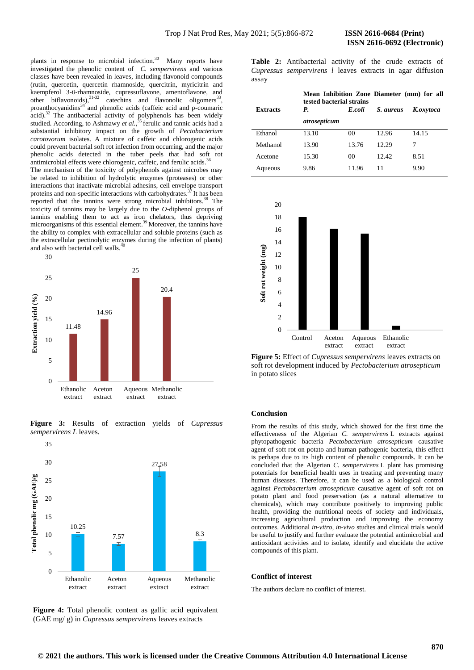plants in response to microbial infection. $30$  Many reports have investigated the phenolic content of *C. sempervirens* and various classes have been revealed in leaves*,* including flavonoid compounds (rutin, quercetin, quercetin rhamnoside, quercitrin, myricitrin and kaempferol 3-*0*-rhamnoside, cupressuflavone, amentoflavone, and other biflavonoids),  $31-32$  catechins and flavonolic oligomers<sup>33</sup>, proanthocyanidins<sup>34</sup> and phenolic acids (caffeic acid and p-coumaric  $acid$ ).<sup>32</sup> The antibacterial activity of polyphenols has been widely studied. According, to Ashmawy *et al.*,<sup>35</sup> ferulic and tannic acids had a substantial inhibitory impact on the growth of *Pectobacterium carotovorum* isolates. A mixture of caffeic and chlorogenic acids could prevent bacterial soft rot infection from occurring, and the major phenolic acids detected in the tuber peels that had soft rot antimicrobial effects were chlorogenic, caffeic, and ferulic acids.<sup>36</sup>

The mechanism of the toxicity of polyphenols against microbes may be related to inhibition of hydrolytic enzymes (proteases) or other interactions that inactivate microbial adhesins, cell envelope transport proteins and non-specific interactions with carbohydrates.<sup>37</sup>It has been reported that the tannins were strong microbial inhibitors.<sup>38</sup> The toxicity of tannins may be largely due to the *O*-diphenol groups of tannins enabling them to act as iron chelators, thus depriving microorganisms of this essential element.<sup>39</sup> Moreover, the tannins have the ability to complex with extracellular and soluble proteins (such as the extracellular pectinolytic enzymes during the infection of plants) and also with bacterial cell walls.<sup>4</sup>



**Figure 3:** Results of extraction yields of *Cupressus sempervirens L* leaves.



Figure 4: Total phenolic content as gallic acid equivalent (GAE mg/ g) in *Cupressus sempervirens* leaves extracts

**Table 2:** Antibacterial activity of the crude extracts of *Cupressus sempervirens l* leaves extracts in agar diffusion assay

|                 |              | Mean Inhibition Zone Diameter (mm) for all<br>tested bacterial strains |           |           |  |  |
|-----------------|--------------|------------------------------------------------------------------------|-----------|-----------|--|--|
| <b>Extracts</b> | P.           | E coli                                                                 | S. aureus | K.oxytoca |  |  |
|                 | atrosepticum |                                                                        |           |           |  |  |
| Ethanol         | 13.10        | 00                                                                     | 12.96     | 14.15     |  |  |
| Methanol        | 13.90        | 13.76                                                                  | 12.29     | 7         |  |  |
| Acetone         | 15.30        | 00                                                                     | 12.42     | 8.51      |  |  |
| Aqueous         | 9.86         | 11.96                                                                  | 11        | 9.90      |  |  |



**Figure 5:** Effect of *Cupressus sempervirens* leaves extracts on soft rot development induced by *Pectobacterium atrosepticum*  in potato slices

# **Conclusion**

From the results of this study, which showed for the first time the effectiveness of the Algerian *C. sempervirens* L extracts against phytopathogenic bacteria *Pectobacterium atrosepticum* causative agent of soft rot on potato and human pathogenic bacteria, this effect is perhaps due to its high content of phenolic compounds. It can be concluded that the Algerian *C. sempervirens* L plant has promising potentials for beneficial health uses in treating and preventing many human diseases. Therefore, it can be used as a biological control against *Pectobacterium atrosepticum* causative agent of soft rot on potato plant and food preservation (as a natural alternative to chemicals), which may contribute positively to improving public health, providing the nutritional needs of society and individuals, increasing agricultural production and improving the economy outcomes. Additional *in-vitro, in-vivo* studies and clinical trials would be useful to justify and further evaluate the potential antimicrobial and antioxidant activities and to isolate, identify and elucidate the active compounds of this plant.

#### **Conflict of interest**

The authors declare no conflict of interest.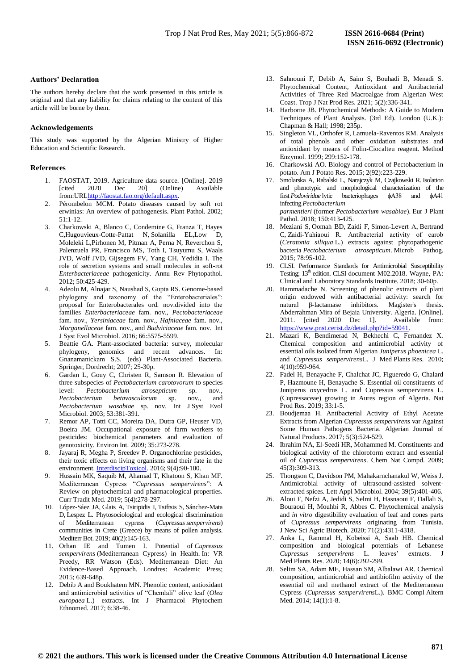#### **Authors' Declaration**

The authors hereby declare that the work presented in this article is original and that any liability for claims relating to the content of this article will be borne by them.

# **Acknowledgements**

This study was supported by the Algerian Ministry of Higher Education and Scientific Research.

# **References**

- 1. FAOSTAT, 2019. Agriculture data source. [Online]. 2019 [cited 2020 Dec 20] (Online) Available from:UR[Lhttp://faostat.fao.org/default.aspx.](http://faostat.fao.org/default.aspx)
- 2. Pérombelon MCM. Potato diseases caused by soft rot erwinias: An overview of pathogenesis. Plant Pathol. 2002; 51:1-12.
- 3. Charkowski A, Blanco C, Condemine G, Franza T, Hayes C,Hugouvieux-Cotte-Pattat N, Solanilla EL,Low D, Moleleki L,Pirhonen M, Pitman A, Perna N, Reverchon S, Palenzuela PR, Francisco MS, Toth I, Tsuyumu S, Waals JVD, Wolf JVD, Gijsegem FV, Yang CH, Yedidia I. The role of secretion systems and small molecules in soft-rot *Enterbacteriaceae* pathogenicity. Annu Rev Phytopathol. 2012; 50:425-429.
- 4. Adeolu M, Alnajar S, Naushad S, Gupta RS. Genome-based phylogeny and taxonomy of the "Enterobacteriales": proposal for Enterobacterales ord. nov.divided into the families *Enterbacteriaceae* fam. nov., *Pectobacteriaceae* fam. nov., *Yersiniaceae* fam. nov., *Hafniaceae* fam. nov., *Morganellaceae* fam. nov., and *Budviciaceae* fam. nov. Int J Syst Evol Microbiol. 2016; 66:5575-5599.
- 5. Beattie GA. Plant-associated bacteria: survey, molecular phylogeny, genomics and recent advances. In: Gnanamanickam S.S. (eds) Plant-Associated Bacteria. Springer, Dordrecht; 2007; 25-30p.
- 6. Gardan L, Gouy C, Christen R, Samson R. Elevation of three subspecies of *Pectobacterium carotovorum* to species level: *Pectobacterium atrosepticum* sp. nov., *Pectobacterium betavasculorum* sp. nov., and *Pectobacterium wasabiae* sp. nov. Int J Syst Evol Microbiol. 2003; 53:381-391.
- 7. Remor AP, Totti CC, Moreira DA, Dutra GP, Heuser VD, Boeira JM. Occupational exposure of farm workers to pesticides: biochemical parameters and evaluation of genotoxicity. Environ Int. 2009; 35:273-278.
- Jayaraj R, Megha P, Sreedev P. Organochlorine pesticides, their toxic effects on living organisms and their fate in the environment[. InterdiscipToxicol.](https://www.ncbi.nlm.nih.gov/pmc/articles/PMC5464684/) 2016; 9(4):90-100.
- 9. Hussain MK, Saquib M, Ahamad T, Khatoon S, Khan MF. Mediterranean Cypress "*Cupressus sempervirens*": A Review on phytochemical and pharmacological properties. Curr Tradit Med. 2019; 5(4):278-297.
- 10. López-Sáez JA, Glais A, Tsiripidis I, Tsiftsis S, Sánchez-Mata D, Lespez L. Phytosociological and ecological discrimination of Mediterranean cypress (*Cupressus sempervirens*) communities in Crete (Greece) by means of pollen analysis. Mediterr Bot. 2019; 40(2):145-163.
- 11. Orhan IE and Tumen I. Potential of *Cupressus sempervirens* (Mediterranean Cypress) in Health. In: VR Preedy, RR Watson (Eds). Mediterranean Diet: An Evidence-Based Approach. Londres: Academic Press; 2015; 639-648p.
- 12. Debib A and Boukhatem MN. Phenolic content, antioxidant and antimicrobial activities of "Chemlali" olive leaf (*Olea europaea* L.) extracts. Int J Pharmacol Phytochem Ethnomed. 2017; 6:38-46.
- 13. Sahnouni F, Debib A, Saim S, Bouhadi B, Menadi S. Phytochemical Content, Antioxidant and Antibacterial Activities of Three Red Macroalgae from Algerian West Coast. Trop J Nat Prod Res. 2021; 5(2):336-341.
- 14. Harborne JB. Phytochemical Methods: A Guide to Modern Techniques of Plant Analysis. (3rd Ed). London (U.K.): Chapman & Hall; 1998; 235p.
- 15. Singleton VL, Orthofer R, Lamuela-Raventos RM. Analysis of total phenols and other oxidation substrates and antioxidant by means of Folin-Ciocalteu reagent. Method Enzymol. 1999; 299:152-178.
- 16. Charkowski AO. Biology and control of Pectobacterium in potato. Am J Potato Res. 2015; 2(92):223-229.
- 17. Smolarska A, Rabalski L, Narajczyk M, Czajkowski R*.* Isolation and phenotypic and morphological characterization of the first *Podoviridae* lytic bacteriophages ϕA38 and ϕA41 infecting*Pectobacterium parmentieri* (former *Pectobacterium wasabiae*). Eur J Plant Pathol. 2018; 150:413-425.
- 18. Meziani S, Oomah BD, Zaidi F, Simon‐Levert A, Bertrand C, Zaidi‐Yahiaoui R. Antibacterial activity of carob (*Ceratonia siliqua* L.) extracts against phytopathogenic bacteria *Pectobacterium atrosepticum*. Microb Pathog. 2015; 78:95-102.
- 19. CLSI. Performance Standards for Antimicrobial Susceptibility Testing; 13<sup>th</sup> edition. CLSI document M02.2018. Wayne, PA: Clinical and Laboratory Standards Institute. 2018; 30-60p.
- 20. Hammadache N. Screening of phenolic extracts of plant origin endowed with antibacterial activity: search for natural β-lactamase inhibitors. Magister's thesis. Abderrahman Mira of Bejaia University. Algeria. [Online]. 2011. [cited 2020 Dec 11. Available from: [https://www.pnst.cerist.dz/detail.php?id=59041.](https://www.pnst.cerist.dz/detail.php?id=59041)
- 21. Mazari K, Bendimerad N, Bekhechi C, Fernandez X. Chemical composition and antimicrobial activity of essential oils isolated from Algerian *Juniperus phoenicea* L. and *Cupressus sempervirens*L. J Med Plants Res. 2010; 4(10):959-964.
- 22. Fadel H, Benayache F, Chalchat JC, Figueredo G, Chalard P, Hazmoune H, Benayache S. Essential oil constituents of Juniperus oxycedrus L. and Cupressus sempervirens L. (Cupressaceae) growing in Aures region of Algeria. Nat Prod Res. 2019; 33:1-5.
- 23. Boudjemaa H. Antibacterial Activity of Ethyl Acetate Extracts from Algerian *Cupressus sempervirens* var Against Some Human Pathogens Bacteria. Algerian Journal of Natural Products. 2017; 5(3):524-529.
- 24. Ibrahim NA, El-Seedi HR, Mohammed M. Constituents and biological activity of the chloroform extract and essential oil of *Cupressus sempervirens*. Chem Nat Compd. 2009; 45(3):309-313.
- 25. Thongson C, Davidson PM, Mahakarnchanakul W, Weiss J. Antimicrobial activity of ultrasound-assisted solventextracted spices. Lett Appl Microbiol. 2004; 39(5):401-406.
- 26. Aloui F, Nefzi A, Jedidi S, Selmi H, Hasnaoui F, Dallali S, Bouraoui H, Mouhbi R, Abbes C. Phytochemical analysis and *in vitro* digestibility evaluation of leaf and cones parts of *Cupressus sempervirens* originating from Tunisia. J New Sci Agric Biotech. 2020; 71(2):4311-4318.
- 27. Anka L, Rammal H, Kobeissi A, Saab HB. Chemical composition and biological potentials of Lebanese *Cupressus sempervirens* L. leaves' extracts. J Med Plants Res. 2020; 14(6):292-299.
- 28. Selim SA, Adam ME, Hassan SM, Albalawi AR. Chemical composition, antimicrobial and antibiofilm activity of the essential oil and methanol extract of the Mediterranean Cypress (*Cupressus sempervirens*L.). BMC Compl Altern Med. 2014; 14(1):1-8.